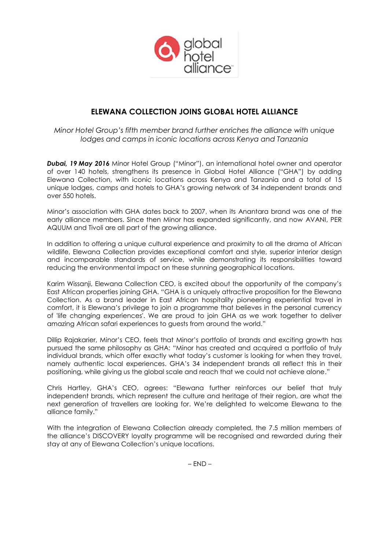

# **ELEWANA COLLECTION JOINS GLOBAL HOTEL ALLIANCE**

*Minor Hotel Group's fifth member brand further enriches the alliance with unique lodges and camps in iconic locations across Kenya and Tanzania*

*Dubai, 19 May 2016* Minor Hotel Group ("Minor"), an international hotel owner and operator of over 140 hotels, strengthens its presence in Global Hotel Alliance ("GHA") by adding Elewana Collection, with iconic locations across Kenya and Tanzania and a total of 15 unique lodges, camps and hotels to GHA's growing network of 34 independent brands and over 550 hotels.

Minor's association with GHA dates back to 2007, when its Anantara brand was one of the early alliance members. Since then Minor has expanded significantly, and now AVANI, PER AQUUM and Tivoli are all part of the growing alliance.

In addition to offering a unique cultural experience and proximity to all the drama of African wildlife, Elewana Collection provides exceptional comfort and style, superior interior design and incomparable standards of service, while demonstrating its responsibilities toward reducing the environmental impact on these stunning geographical locations.

Karim Wissanji, Elewana Collection CEO, is excited about the opportunity of the company's East African properties joining GHA. "GHA is a uniquely attractive proposition for the Elewana Collection. As a brand leader in East African hospitality pioneering experiential travel in comfort, it is Elewana's privilege to join a programme that believes in the personal currency of 'life changing experiences'. We are proud to join GHA as we work together to deliver amazing African safari experiences to guests from around the world."

Dillip Rajakarier, Minor's CEO, feels that Minor's portfolio of brands and exciting growth has pursued the same philosophy as GHA: "Minor has created and acquired a portfolio of truly individual brands, which offer exactly what today's customer is looking for when they travel, namely authentic local experiences. GHA's 34 independent brands all reflect this in their positioning, while giving us the global scale and reach that we could not achieve alone."

Chris Hartley, GHA's CEO, agrees: "Elewana further reinforces our belief that truly independent brands, which represent the culture and heritage of their region, are what the next generation of travellers are looking for. We're delighted to welcome Elewana to the alliance family."

With the integration of Elewana Collection already completed, the 7.5 million members of the alliance's DISCOVERY loyalty programme will be recognised and rewarded during their stay at any of Elewana Collection's unique locations.

 $-$  END  $-$